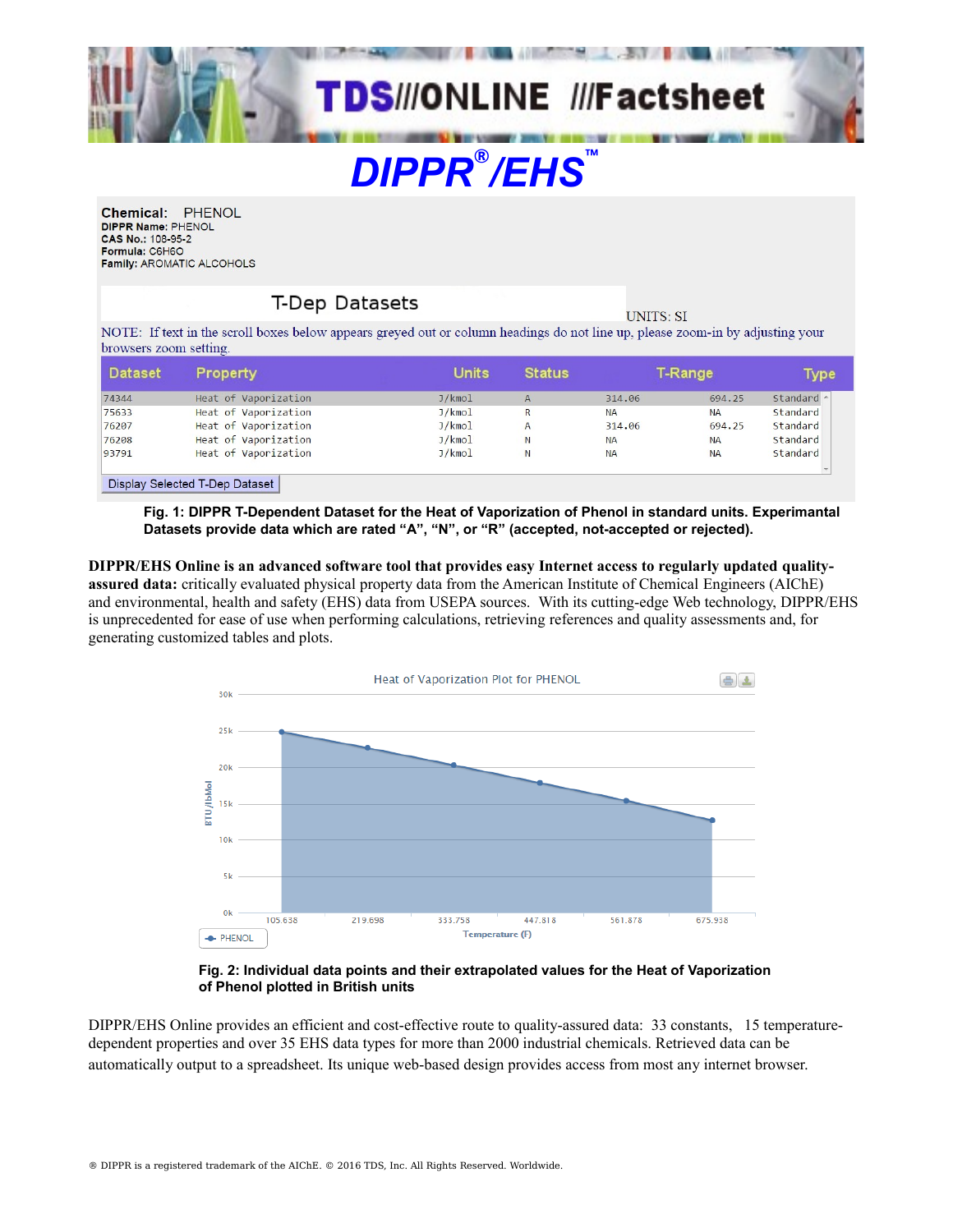

Chemical: PHENOL DIPPR Name: PHENOL CAS No.: 108-95-2 Formula: C6H6O **Family: AROMATIC ALCOHOLS** 

## **T-Dep Datasets**

**UNITS: SI** 

NOTE: If text in the scroll boxes below appears greyed out or column headings do not line up, please zoom-in by adjusting your browsers zoom setting.

| <b>Dataset</b> | Property                       | <b>Units</b> | <b>Status</b>  | <b>T-Range</b> |           | <b>Type</b> |
|----------------|--------------------------------|--------------|----------------|----------------|-----------|-------------|
| 74344          | Heat of Vaporization           | J/kmol       | $\overline{A}$ | 314,06         | 694.25    | Standard ^  |
| 75633          | Heat of Vaporization           | J/kmol       | R              | <b>NA</b>      | <b>NA</b> | Standard    |
| 76207          | Heat of Vaporization           | J/kmol       | $\mathsf{A}$   | 314.06         | 694.25    | Standard    |
| 76208          | Heat of Vaporization           | J/kmol       | N              | <b>NA</b>      | <b>NA</b> | Standard    |
| 93791          | Heat of Vaporization           | J/kmol       | N              | <b>NA</b>      | <b>NA</b> | Standard    |
|                |                                |              |                |                |           |             |
|                | Display Selected T-Dep Dataset |              |                |                |           |             |

**Fig. 1: DIPPR T-Dependent Dataset for the Heat of Vaporization of Phenol in standard units. Experimantal Datasets provide data which are rated "A", "N", or "R" (accepted, not-accepted or rejected).**

**DIPPR/EHS Online is an advanced software tool that provides easy Internet access to regularly updated qualityassured data:** critically evaluated physical property data from the American Institute of Chemical Engineers (AIChE) and environmental, health and safety (EHS) data from USEPA sources. With its cutting-edge Web technology, DIPPR/EHS is unprecedented for ease of use when performing calculations, retrieving references and quality assessments and, for generating customized tables and plots.



## **Fig. 2: Individual data points and their extrapolated values for the Heat of Vaporization of Phenol plotted in British units**

DIPPR/EHS Online provides an efficient and cost-effective route to quality-assured data: 33 constants, 15 temperaturedependent properties and over 35 EHS data types for more than 2000 industrial chemicals. Retrieved data can be automatically output to a spreadsheet. Its unique web-based design provides access from most any internet browser.